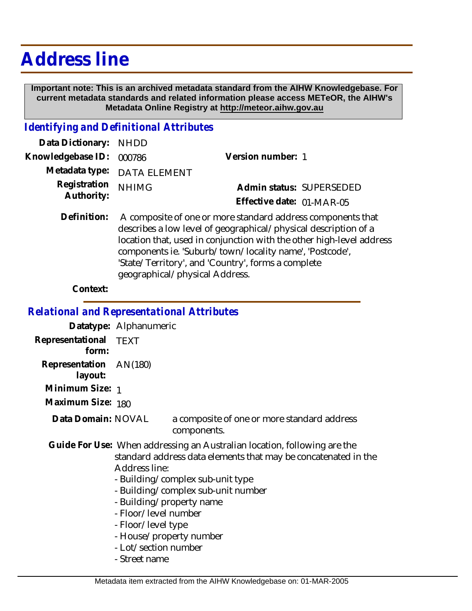## **Address line**

 **Important note: This is an archived metadata standard from the AIHW Knowledgebase. For current metadata standards and related information please access METeOR, the AIHW's Metadata Online Registry at http://meteor.aihw.gov.au**

## *Identifying and Definitional Attributes*

| Data Dictionary: NHDD    |                             |                           |
|--------------------------|-----------------------------|---------------------------|
| Knowledgebase ID: 000786 |                             | Version number: 1         |
|                          | Metadata type: DATA ELEMENT |                           |
| Registration NHIMG       |                             | Admin status: SUPERSEDED  |
| Authority:               |                             | Effective date: 01-MAR-05 |
|                          |                             |                           |

Definition: A composite of one or more standard address components that describes a low level of geographical/physical description of a location that, used in conjunction with the other high-level address components ie. 'Suburb/town/locality name', 'Postcode', 'State/Territory', and 'Country', forms a complete geographical/physical Address.

## **Context:**

*Relational and Representational Attributes*

**Datatype:** Alphanumeric

**Representational** TEXT  **form:**

**Representation** AN(180)

 **layout:**

**Minimum Size:** 1

**Maximum Size:** 180

a composite of one or more standard address components. **Data Domain:**

Guide For Use: When addressing an Australian location, following are the standard address data elements that may be concatenated in the Address line:

- Building/complex sub-unit type
- Building/complex sub-unit number
- Building/property name
- Floor/level number
- Floor/level type
- House/property number
- Lot/section number
- Street name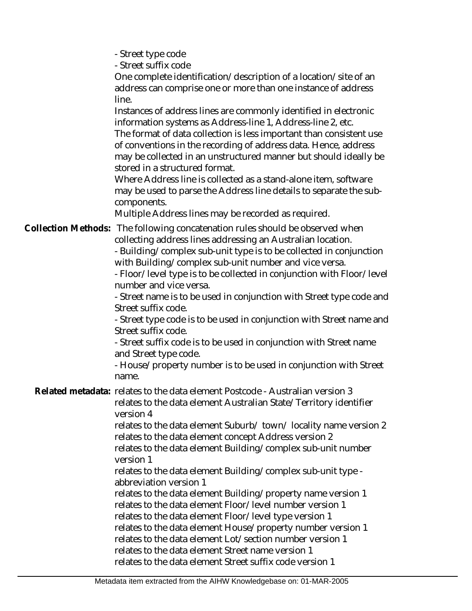- Street type code

- Street suffix code

One complete identification/description of a location/site of an address can comprise one or more than one instance of address line.

Instances of address lines are commonly identified in electronic information systems as Address-line 1, Address-line 2, etc.

The format of data collection is less important than consistent use of conventions in the recording of address data. Hence, address may be collected in an unstructured manner but should ideally be stored in a structured format.

Where Address line is collected as a stand-alone item, software may be used to parse the Address line details to separate the subcomponents.

Multiple Address lines may be recorded as required.

Collection Methods: The following concatenation rules should be observed when collecting address lines addressing an Australian location.

- Building/complex sub-unit type is to be collected in conjunction with Building/complex sub-unit number and vice versa.

- Floor/level type is to be collected in conjunction with Floor/level number and vice versa.

- Street name is to be used in conjunction with Street type code and Street suffix code.

- Street type code is to be used in conjunction with Street name and Street suffix code.

- Street suffix code is to be used in conjunction with Street name and Street type code.

- House/property number is to be used in conjunction with Street name.

Related metadata: relates to the data element Postcode - Australian version 3

relates to the data element Australian State/Territory identifier version 4

relates to the data element Suburb/ town/ locality name version 2 relates to the data element concept Address version 2

relates to the data element Building/complex sub-unit number version 1

relates to the data element Building/complex sub-unit type abbreviation version 1

relates to the data element Building/property name version 1 relates to the data element Floor/level number version 1 relates to the data element Floor/level type version 1 relates to the data element House/property number version 1 relates to the data element Lot/section number version 1 relates to the data element Street name version 1